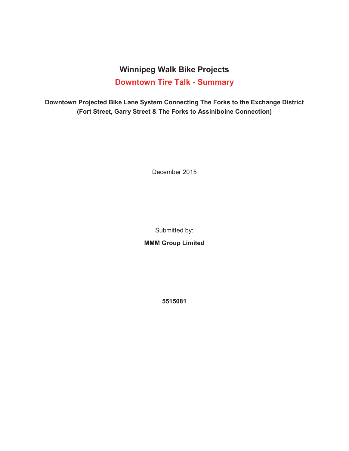## **Winnipeg Walk Bike Projects Downtown Tire Talk - Summary**

**Downtown Projected Bike Lane System Connecting The Forks to the Exchange District (Fort Street, Garry Street & The Forks to Assiniboine Connection)** 

December 2015

Submitted by:

**MMM Group Limited** 

**5515081**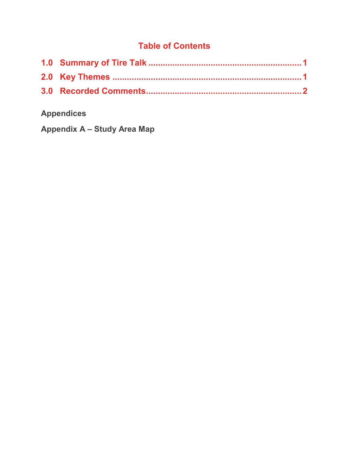## **Table of Contents**

# **Appendices**

**Appendix A – Study Area Map**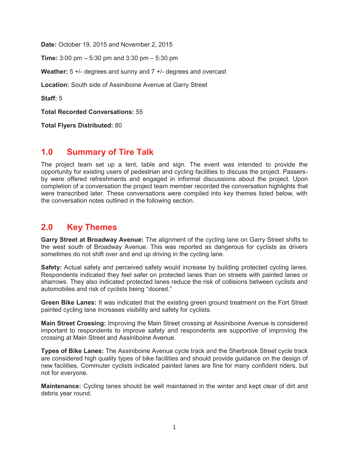**Date:** October 19, 2015 and November 2, 2015

**Time:** 3:00 pm – 5:30 pm and 3:30 pm – 5:30 pm

**Weather:** 5 +/- degrees and sunny and 7 +/- degrees and overcast

**Location:** South side of Assiniboine Avenue at Garry Street

**Staff:** 5

**Total Recorded Conversations:** 55

**Total Flyers Distributed:** 80

#### **1.0 Summary of Tire Talk**

The project team set up a tent, table and sign. The event was intended to provide the opportunity for existing users of pedestrian and cycling facilities to discuss the project. Passersby were offered refreshments and engaged in informal discussions about the project. Upon completion of a conversation the project team member recorded the conversation highlights that were transcribed later. These conversations were compiled into key themes listed below, with the conversation notes outlined in the following section.

### **2.0 Key Themes**

**Garry Street at Broadway Avenue:** The alignment of the cycling lane on Garry Street shifts to the west south of Broadway Avenue. This was reported as dangerous for cyclists as drivers sometimes do not shift over and end up driving in the cycling lane.

**Safety:** Actual safety and perceived safety would increase by building protected cycling lanes. Respondents indicated they feel safer on protected lanes than on streets with painted lanes or sharrows. They also indicated protected lanes reduce the risk of collisions between cyclists and automobiles and risk of cyclists being "doored."

**Green Bike Lanes:** It was indicated that the existing green ground treatment on the Fort Street painted cycling lane increases visibility and safety for cyclists.

**Main Street Crossing:** Improving the Main Street crossing at Assiniboine Avenue is considered important to respondents to improve safety and respondents are supportive of improving the crossing at Main Street and Assiniboine Avenue.

**Types of Bike Lanes:** The Assiniboine Avenue cycle track and the Sherbrook Street cycle track are considered high quality types of bike facilities and should provide guidance on the design of new facilities. Commuter cyclists indicated painted lanes are fine for many confident riders, but not for everyone.

**Maintenance:** Cycling lanes should be well maintained in the winter and kept clear of dirt and debris year round.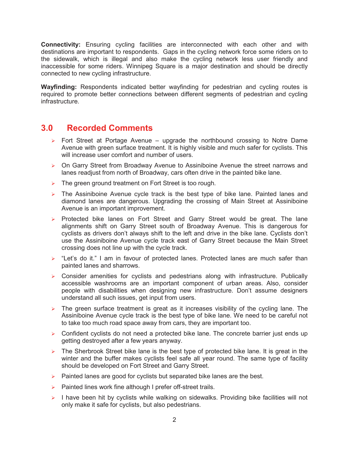**Connectivity:** Ensuring cycling facilities are interconnected with each other and with destinations are important to respondents. Gaps in the cycling network force some riders on to the sidewalk, which is illegal and also make the cycling network less user friendly and inaccessible for some riders. Winnipeg Square is a major destination and should be directly connected to new cycling infrastructure.

**Wayfinding:** Respondents indicated better wayfinding for pedestrian and cycling routes is required to promote better connections between different segments of pedestrian and cycling infrastructure.

#### **3.0 Recorded Comments**

- $\triangleright$  Fort Street at Portage Avenue upgrade the northbound crossing to Notre Dame Avenue with green surface treatment. It is highly visible and much safer for cyclists. This will increase user comfort and number of users.
- $\triangleright$  On Garry Street from Broadway Avenue to Assiniboine Avenue the street narrows and lanes readjust from north of Broadway, cars often drive in the painted bike lane.
- $\triangleright$  The green ground treatment on Fort Street is too rough.
- $\triangleright$  The Assiniboine Avenue cycle track is the best type of bike lane. Painted lanes and diamond lanes are dangerous. Upgrading the crossing of Main Street at Assiniboine Avenue is an important improvement.
- $\triangleright$  Protected bike lanes on Fort Street and Garry Street would be great. The lane alignments shift on Garry Street south of Broadway Avenue. This is dangerous for cyclists as drivers don't always shift to the left and drive in the bike lane. Cyclists don't use the Assiniboine Avenue cycle track east of Garry Street because the Main Street crossing does not line up with the cycle track.
- $\triangleright$  "Let's do it." I am in favour of protected lanes. Protected lanes are much safer than painted lanes and sharrows.
- $\triangleright$  Consider amenities for cyclists and pedestrians along with infrastructure. Publically accessible washrooms are an important component of urban areas. Also, consider people with disabilities when designing new infrastructure. Don't assume designers understand all such issues, get input from users.
- $\triangleright$  The green surface treatment is great as it increases visibility of the cycling lane. The Assiniboine Avenue cycle track is the best type of bike lane. We need to be careful not to take too much road space away from cars, they are important too.
- $\triangleright$  Confident cyclists do not need a protected bike lane. The concrete barrier just ends up getting destroyed after a few years anyway.
- $\triangleright$  The Sherbrook Street bike lane is the best type of protected bike lane. It is great in the winter and the buffer makes cyclists feel safe all year round. The same type of facility should be developed on Fort Street and Garry Street.
- $\triangleright$  Painted lanes are good for cyclists but separated bike lanes are the best.
- $\triangleright$  Painted lines work fine although I prefer off-street trails.
- $\triangleright$  I have been hit by cyclists while walking on sidewalks. Providing bike facilities will not only make it safe for cyclists, but also pedestrians.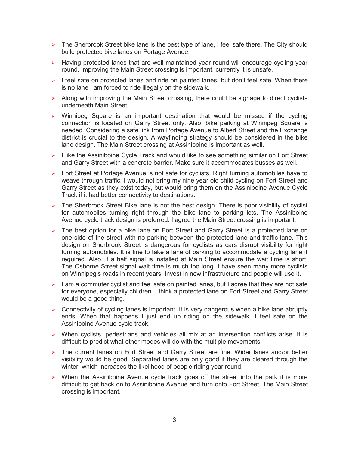- $\triangleright$  The Sherbrook Street bike lane is the best type of lane, I feel safe there. The City should build protected bike lanes on Portage Avenue.
- $\triangleright$  Having protected lanes that are well maintained year round will encourage cycling year round. Improving the Main Street crossing is important, currently it is unsafe.
- $\triangleright$  I feel safe on protected lanes and ride on painted lanes, but don't feel safe. When there is no lane I am forced to ride illegally on the sidewalk.
- $\triangleright$  Along with improving the Main Street crossing, there could be signage to direct cyclists underneath Main Street.
- $\triangleright$  Winnipeg Square is an important destination that would be missed if the cycling connection is located on Garry Street only. Also, bike parking at Winnipeg Square is needed. Considering a safe link from Portage Avenue to Albert Street and the Exchange district is crucial to the design. A wayfinding strategy should be considered in the bike lane design. The Main Street crossing at Assiniboine is important as well.
- $\triangleright$  I like the Assiniboine Cycle Track and would like to see something similar on Fort Street and Garry Street with a concrete barrier. Make sure it accommodates busses as well.
- $\triangleright$  Fort Street at Portage Avenue is not safe for cyclists. Right turning automobiles have to weave through traffic. I would not bring my nine year old child cycling on Fort Street and Garry Street as they exist today, but would bring them on the Assiniboine Avenue Cycle Track if it had better connectivity to destinations.
- $\triangleright$  The Sherbrook Street Bike lane is not the best design. There is poor visibility of cyclist for automobiles turning right through the bike lane to parking lots. The Assiniboine Avenue cycle track design is preferred. I agree the Main Street crossing is important.
- $\triangleright$  The best option for a bike lane on Fort Street and Garry Street is a protected lane on one side of the street with no parking between the protected lane and traffic lane. This design on Sherbrook Street is dangerous for cyclists as cars disrupt visibility for right turning automobiles. It is fine to take a lane of parking to accommodate a cycling lane if required. Also, if a half signal is installed at Main Street ensure the wait time is short. The Osborne Street signal wait time is much too long. I have seen many more cyclists on Winnipeg's roads in recent years. Invest in new infrastructure and people will use it.
- $\triangleright$  I am a commuter cyclist and feel safe on painted lanes, but I agree that they are not safe for everyone, especially children. I think a protected lane on Fort Street and Garry Street would be a good thing.
- $\triangleright$  Connectivity of cycling lanes is important. It is very dangerous when a bike lane abruptly ends. When that happens I just end up riding on the sidewalk. I feel safe on the Assiniboine Avenue cycle track.
- ▶ When cyclists, pedestrians and vehicles all mix at an intersection conflicts arise. It is difficult to predict what other modes will do with the multiple movements.
- $\triangleright$  The current lanes on Fort Street and Garry Street are fine. Wider lanes and/or better visibility would be good. Separated lanes are only good if they are cleared through the winter, which increases the likelihood of people riding year round.
- $\triangleright$  When the Assiniboine Avenue cycle track goes off the street into the park it is more difficult to get back on to Assiniboine Avenue and turn onto Fort Street. The Main Street crossing is important.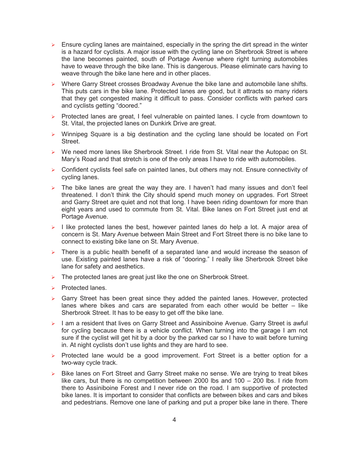- $\triangleright$  Ensure cycling lanes are maintained, especially in the spring the dirt spread in the winter is a hazard for cyclists. A major issue with the cycling lane on Sherbrook Street is where the lane becomes painted, south of Portage Avenue where right turning automobiles have to weave through the bike lane. This is dangerous. Please eliminate cars having to weave through the bike lane here and in other places.
- $\triangleright$  Where Garry Street crosses Broadway Avenue the bike lane and automobile lane shifts. This puts cars in the bike lane. Protected lanes are good, but it attracts so many riders that they get congested making it difficult to pass. Consider conflicts with parked cars and cyclists getting "doored."
- $\triangleright$  Protected lanes are great, I feel vulnerable on painted lanes. I cycle from downtown to St. Vital, the projected lanes on Dunkirk Drive are great.
- $\triangleright$  Winnipeg Square is a big destination and the cycling lane should be located on Fort Street.
- $\triangleright$  We need more lanes like Sherbrook Street. I ride from St. Vital near the Autopac on St. Mary's Road and that stretch is one of the only areas I have to ride with automobiles.
- $\triangleright$  Confident cyclists feel safe on painted lanes, but others may not. Ensure connectivity of cycling lanes.
- $\triangleright$  The bike lanes are great the way they are. I haven't had many issues and don't feel threatened. I don't think the City should spend much money on upgrades. Fort Street and Garry Street are quiet and not that long. I have been riding downtown for more than eight years and used to commute from St. Vital. Bike lanes on Fort Street just end at Portage Avenue.
- $\triangleright$  I like protected lanes the best, however painted lanes do help a lot. A major area of concern is St. Mary Avenue between Main Street and Fort Street there is no bike lane to connect to existing bike lane on St. Mary Avenue.
- $\triangleright$  There is a public health benefit of a separated lane and would increase the season of use. Existing painted lanes have a risk of "dooring." I really like Sherbrook Street bike lane for safety and aesthetics.
- $\triangleright$  The protected lanes are great just like the one on Sherbrook Street.
- $\triangleright$  Protected lanes.
- $\triangleright$  Garry Street has been great since they added the painted lanes. However, protected lanes where bikes and cars are separated from each other would be better – like Sherbrook Street. It has to be easy to get off the bike lane.
- $\triangleright$  I am a resident that lives on Garry Street and Assiniboine Avenue. Garry Street is awful for cycling because there is a vehicle conflict. When turning into the garage I am not sure if the cyclist will get hit by a door by the parked car so I have to wait before turning in. At night cyclists don't use lights and they are hard to see.
- $\triangleright$  Protected lane would be a good improvement. Fort Street is a better option for a two-way cycle track.
- $\triangleright$  Bike lanes on Fort Street and Garry Street make no sense. We are trying to treat bikes like cars, but there is no competition between 2000 lbs and 100 – 200 lbs. I ride from there to Assiniboine Forest and I never ride on the road. I am supportive of protected bike lanes. It is important to consider that conflicts are between bikes and cars and bikes and pedestrians. Remove one lane of parking and put a proper bike lane in there. There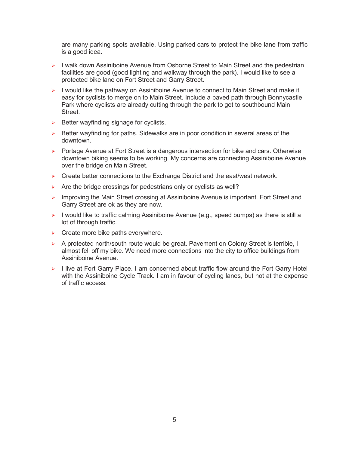are many parking spots available. Using parked cars to protect the bike lane from traffic is a good idea.

- ▶ I walk down Assiniboine Avenue from Osborne Street to Main Street and the pedestrian facilities are good (good lighting and walkway through the park). I would like to see a protected bike lane on Fort Street and Garry Street.
- $\triangleright$  I would like the pathway on Assiniboine Avenue to connect to Main Street and make it easy for cyclists to merge on to Main Street. Include a paved path through Bonnycastle Park where cyclists are already cutting through the park to get to southbound Main Street.
- $\triangleright$  Better wayfinding signage for cyclists.
- $\triangleright$  Better wayfinding for paths. Sidewalks are in poor condition in several areas of the downtown.
- $\triangleright$  Portage Avenue at Fort Street is a dangerous intersection for bike and cars. Otherwise downtown biking seems to be working. My concerns are connecting Assiniboine Avenue over the bridge on Main Street.
- $\triangleright$  Create better connections to the Exchange District and the east/west network.
- $\triangleright$  Are the bridge crossings for pedestrians only or cyclists as well?
- ▶ Improving the Main Street crossing at Assiniboine Avenue is important. Fort Street and Garry Street are ok as they are now.
- $\triangleright$  I would like to traffic calming Assiniboine Avenue (e.g., speed bumps) as there is still a lot of through traffic.
- $\triangleright$  Create more bike paths everywhere.
- $\triangleright$  A protected north/south route would be great. Pavement on Colony Street is terrible, I almost fell off my bike. We need more connections into the city to office buildings from Assiniboine Avenue.
- $\triangleright$  I live at Fort Garry Place. I am concerned about traffic flow around the Fort Garry Hotel with the Assiniboine Cycle Track. I am in favour of cycling lanes, but not at the expense of traffic access.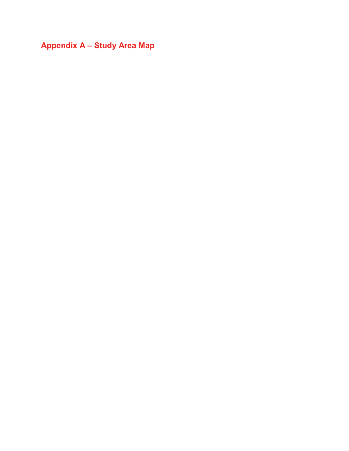**Appendix A – Study Area Map**